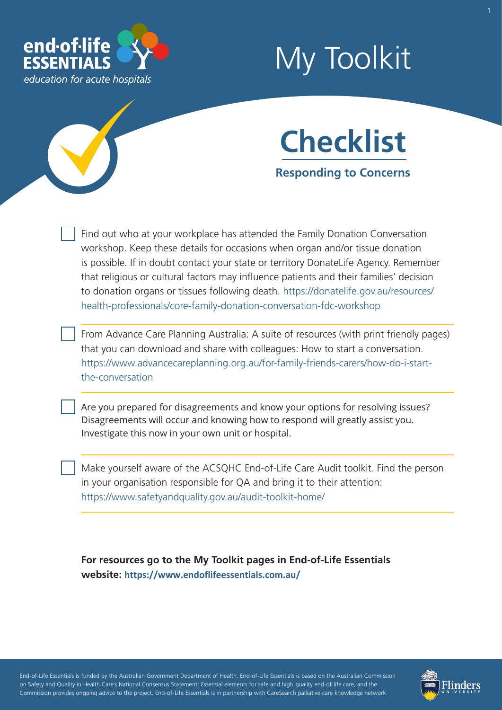

# My Toolkit



**Responding to Concerns** 

Find out who at your workplace has attended the Family Donation Conversation workshop. Keep these details for occasions when organ and/or tissue donation is possible. If in doubt contact your state or territory DonateLife Agency. Remember that religious or cultural factors may infuence patients and their families' decision to donation organs or tissues following death. [https://donatelife.gov.au/resources/](https://donatelife.gov.au/resources/health-professionals/core-family-donation-conversation-fdc-workshop)  [health-professionals/core-family-donation-conversation-fdc-workshop](https://donatelife.gov.au/resources/health-professionals/core-family-donation-conversation-fdc-workshop) 

From Advance Care Planning Australia: A suite of resources (with print friendly pages) that you can download and share with colleagues: How to start a conversation. [https://www.advancecareplanning.org.au/for-family-friends-carers/how-do-i-start](https://www.advancecareplanning.org.au/for-family-friends-carers/how-do-i-start-the-conversation)[the-conversation](https://www.advancecareplanning.org.au/for-family-friends-carers/how-do-i-start-the-conversation) 

Are you prepared for disagreements and know your options for resolving issues? Disagreements will occur and knowing how to respond will greatly assist you. Investigate this now in your own unit or hospital.

Make yourself aware of the ACSQHC End-of-Life Care Audit toolkit. Find the person in your organisation responsible for QA and bring it to their attention: <https://www.safetyandquality.gov.au/audit-toolkit-home/>

**For resources go to the My Toolkit pages in End-of-Life Essentials website: <https://www.endoflifeessentials.com.au/>**

- - - - End-of-Life Essentials is funded by the Australian Government Department of Health. End-of-Life Essentials is based on the Australian Commission ' - - - on Safety and Quality in Health Care's National Consensus Statement: Essential elements for safe and high quality end-of-life care, and the - - Commission provides ongoing advice to the project. End-of-Life Essentials is in partnership with CareSearch palliative care knowledge network.

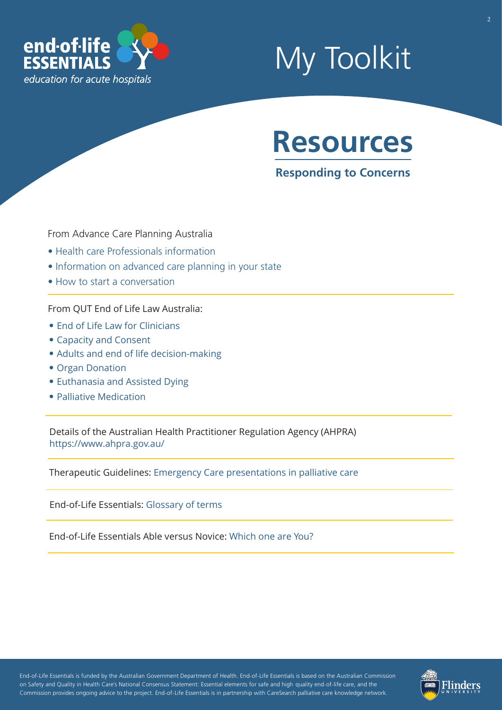

## My Toolkit

### **Resources**

**Responding to Concerns** 

From Advance Care Planning Australia

- [Health care Professionals information](https://www.advancecareplanning.org.au/for-health-and-care-workers)
- [Information on advanced care planning in your state](https://www.advancecareplanning.org.au/create-your-plan)
- [How to start a conversation](http://advancecareplanning.org.au/for-family-friends-carers/how-do-i-start-the-conversation)

From QUT End of Life Law Australia:

- [End of Life Law for Clinici](https://end-of-life.qut.edu.au/legal-overview)ans
- [Capacity and Consent](https://end-of-life.qut.edu.au/capacity)
- [Adults and end of life decision-making](https://end-of-life.qut.edu.au/legal-overview)
- [Organ Donation](https://end-of-life.qut.edu.au/organ-donation)
- [Euthanasia and Assisted Dying](https://end-of-life.qut.edu.au/euthanasia)
- [Palliative Medication](https://end-of-life.qut.edu.au/palliative-care)

Details of the Australian Health Practitioner Regulation Agency (AHPRA) <https://www.ahpra.gov.au/>

Therapeutic Guidelines: [Emergency Care presentations in palliative care](https://tgldcdp.tg.org.au/viewTopic?topicfile=palliative-care-emergency-care-presentations)

End-of-Life Essentials: [Glossary of terms](https://www.endoflifeessentials.com.au/tabid/5311/Default.aspx)

End-of-Life Essentials Able versus Novice: [Which one are You?](https://www.endoflifeessentials.com.au/Portals/14/Images/Education%20Module/ABLE-VS-NOVICE.jpg)

- - - - End-of-Life Essentials is funded by the Australian Government Department of Health. End-of-Life Essentials is based on the Australian Commission ' - - - on Safety and Quality in Health Care's National Consensus Statement: Essential elements for safe and high quality end-of-life care, and the - - Commission provides ongoing advice to the project. End-of-Life Essentials is in partnership with CareSearch palliative care knowledge network.